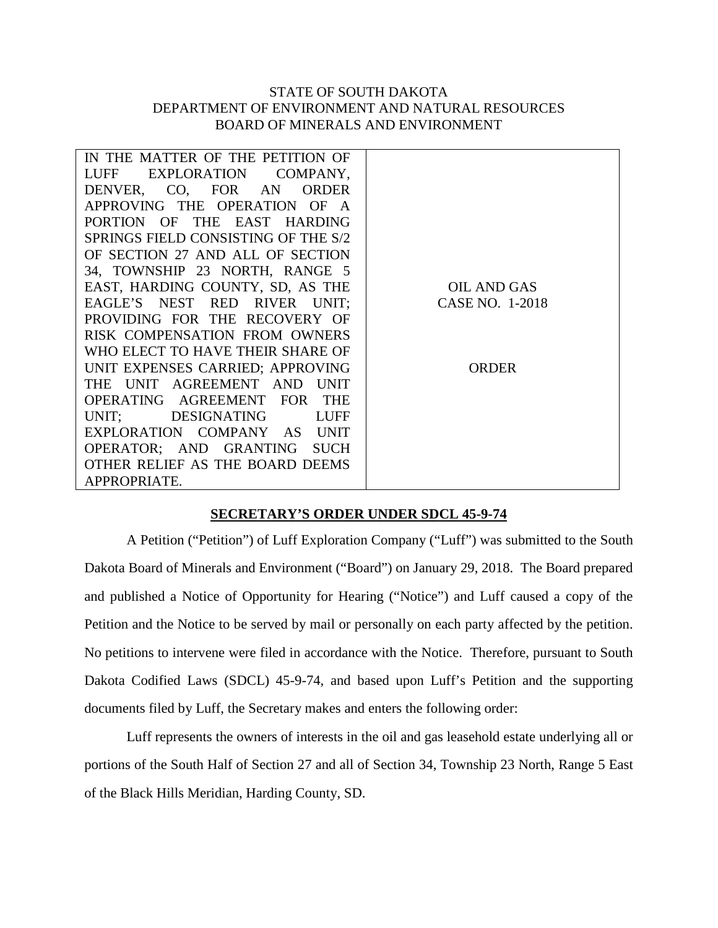## STATE OF SOUTH DAKOTA DEPARTMENT OF ENVIRONMENT AND NATURAL RESOURCES BOARD OF MINERALS AND ENVIRONMENT

| IN THE MATTER OF THE PETITION OF       |                 |
|----------------------------------------|-----------------|
| <b>LUFF</b><br>EXPLORATION<br>COMPANY, |                 |
| DENVER, CO, FOR AN<br><b>ORDER</b>     |                 |
| APPROVING THE OPERATION OF             |                 |
| PORTION OF THE EAST HARDING            |                 |
| SPRINGS FIELD CONSISTING OF THE S/2    |                 |
| OF SECTION 27 AND ALL OF SECTION       |                 |
| 34, TOWNSHIP 23 NORTH, RANGE 5         |                 |
| EAST, HARDING COUNTY, SD, AS THE       | OIL AND GAS     |
| EAGLE'S NEST RED RIVER UNIT;           | CASE NO. 1-2018 |
| PROVIDING FOR THE RECOVERY OF          |                 |
| RISK COMPENSATION FROM OWNERS          |                 |
| WHO ELECT TO HAVE THEIR SHARE OF       |                 |
| UNIT EXPENSES CARRIED; APPROVING       | <b>ORDER</b>    |
| THE UNIT AGREEMENT AND UNIT            |                 |
| OPERATING AGREEMENT FOR THE            |                 |
| UNIT: DESIGNATING<br>LUFF              |                 |
| EXPLORATION COMPANY AS UNIT            |                 |
| OPERATOR; AND GRANTING<br><b>SUCH</b>  |                 |
| OTHER RELIEF AS THE BOARD DEEMS        |                 |
| APPROPRIATE.                           |                 |

## **SECRETARY'S ORDER UNDER SDCL 45-9-74**

A Petition ("Petition") of Luff Exploration Company ("Luff") was submitted to the South Dakota Board of Minerals and Environment ("Board") on January 29, 2018. The Board prepared and published a Notice of Opportunity for Hearing ("Notice") and Luff caused a copy of the Petition and the Notice to be served by mail or personally on each party affected by the petition. No petitions to intervene were filed in accordance with the Notice. Therefore, pursuant to South Dakota Codified Laws (SDCL) 45-9-74, and based upon Luff's Petition and the supporting documents filed by Luff, the Secretary makes and enters the following order:

Luff represents the owners of interests in the oil and gas leasehold estate underlying all or portions of the South Half of Section 27 and all of Section 34, Township 23 North, Range 5 East of the Black Hills Meridian, Harding County, SD.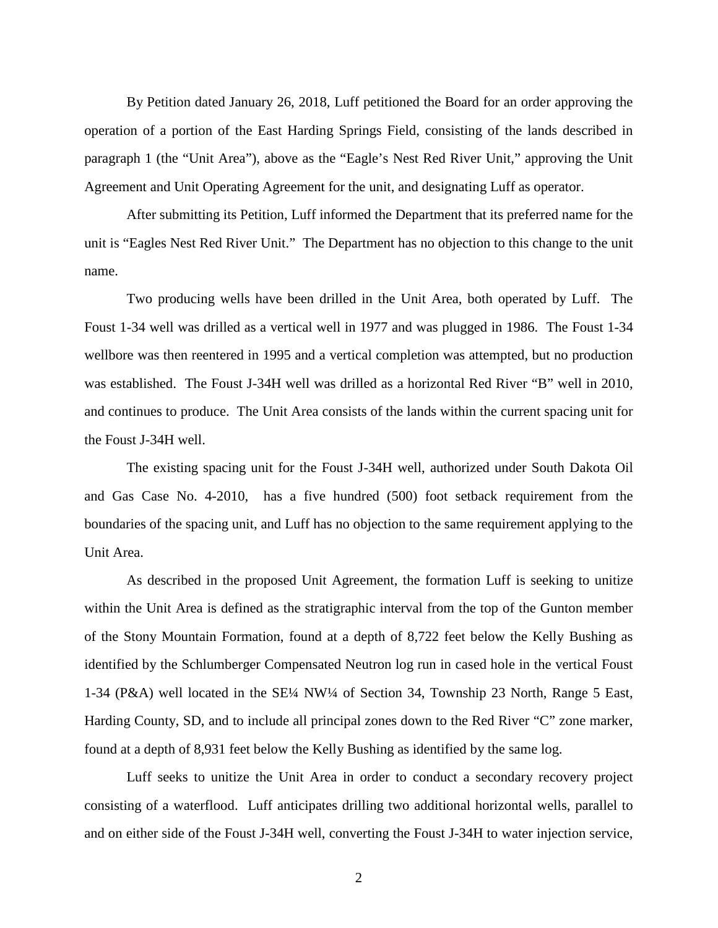By Petition dated January 26, 2018, Luff petitioned the Board for an order approving the operation of a portion of the East Harding Springs Field, consisting of the lands described in paragraph 1 (the "Unit Area"), above as the "Eagle's Nest Red River Unit," approving the Unit Agreement and Unit Operating Agreement for the unit, and designating Luff as operator.

After submitting its Petition, Luff informed the Department that its preferred name for the unit is "Eagles Nest Red River Unit." The Department has no objection to this change to the unit name.

Two producing wells have been drilled in the Unit Area, both operated by Luff. The Foust 1-34 well was drilled as a vertical well in 1977 and was plugged in 1986. The Foust 1-34 wellbore was then reentered in 1995 and a vertical completion was attempted, but no production was established. The Foust J-34H well was drilled as a horizontal Red River "B" well in 2010, and continues to produce. The Unit Area consists of the lands within the current spacing unit for the Foust J-34H well.

The existing spacing unit for the Foust J-34H well, authorized under South Dakota Oil and Gas Case No. 4-2010, has a five hundred (500) foot setback requirement from the boundaries of the spacing unit, and Luff has no objection to the same requirement applying to the Unit Area.

As described in the proposed Unit Agreement, the formation Luff is seeking to unitize within the Unit Area is defined as the stratigraphic interval from the top of the Gunton member of the Stony Mountain Formation, found at a depth of 8,722 feet below the Kelly Bushing as identified by the Schlumberger Compensated Neutron log run in cased hole in the vertical Foust 1-34 (P&A) well located in the SE¼ NW¼ of Section 34, Township 23 North, Range 5 East, Harding County, SD, and to include all principal zones down to the Red River "C" zone marker, found at a depth of 8,931 feet below the Kelly Bushing as identified by the same log.

Luff seeks to unitize the Unit Area in order to conduct a secondary recovery project consisting of a waterflood. Luff anticipates drilling two additional horizontal wells, parallel to and on either side of the Foust J-34H well, converting the Foust J-34H to water injection service,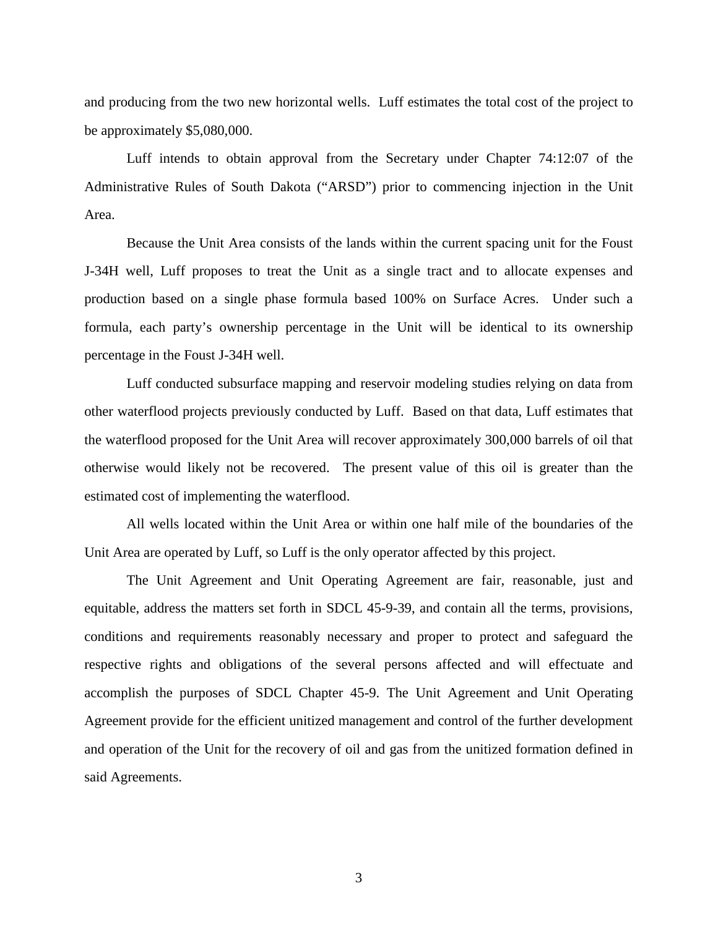and producing from the two new horizontal wells. Luff estimates the total cost of the project to be approximately \$5,080,000.

Luff intends to obtain approval from the Secretary under Chapter 74:12:07 of the Administrative Rules of South Dakota ("ARSD") prior to commencing injection in the Unit Area.

Because the Unit Area consists of the lands within the current spacing unit for the Foust J-34H well, Luff proposes to treat the Unit as a single tract and to allocate expenses and production based on a single phase formula based 100% on Surface Acres. Under such a formula, each party's ownership percentage in the Unit will be identical to its ownership percentage in the Foust J-34H well.

Luff conducted subsurface mapping and reservoir modeling studies relying on data from other waterflood projects previously conducted by Luff. Based on that data, Luff estimates that the waterflood proposed for the Unit Area will recover approximately 300,000 barrels of oil that otherwise would likely not be recovered. The present value of this oil is greater than the estimated cost of implementing the waterflood.

All wells located within the Unit Area or within one half mile of the boundaries of the Unit Area are operated by Luff, so Luff is the only operator affected by this project.

The Unit Agreement and Unit Operating Agreement are fair, reasonable, just and equitable, address the matters set forth in SDCL 45-9-39, and contain all the terms, provisions, conditions and requirements reasonably necessary and proper to protect and safeguard the respective rights and obligations of the several persons affected and will effectuate and accomplish the purposes of SDCL Chapter 45-9. The Unit Agreement and Unit Operating Agreement provide for the efficient unitized management and control of the further development and operation of the Unit for the recovery of oil and gas from the unitized formation defined in said Agreements.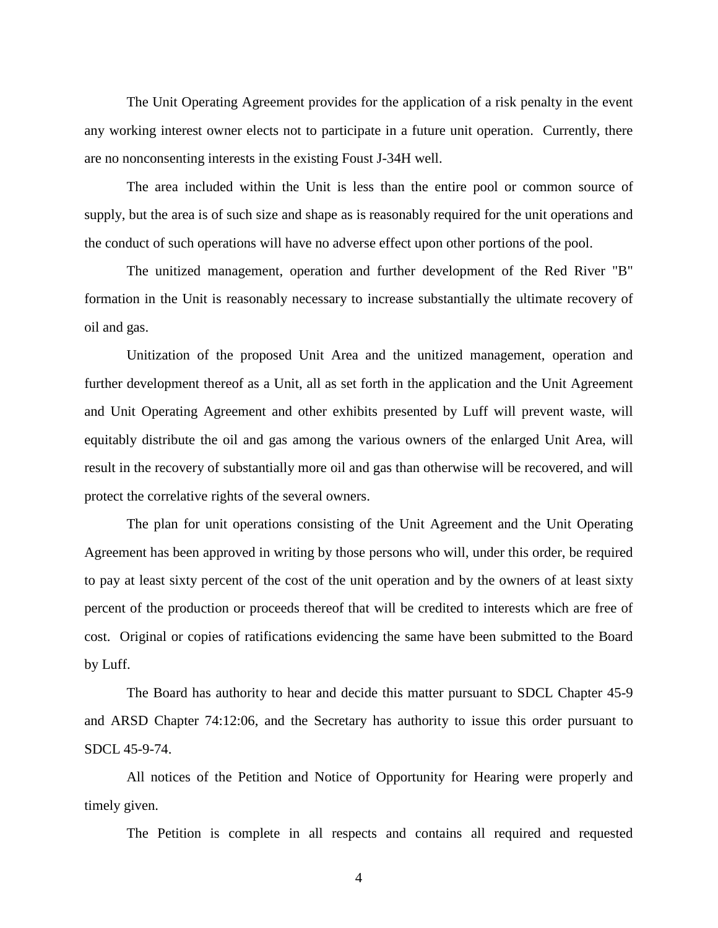The Unit Operating Agreement provides for the application of a risk penalty in the event any working interest owner elects not to participate in a future unit operation. Currently, there are no nonconsenting interests in the existing Foust J-34H well.

The area included within the Unit is less than the entire pool or common source of supply, but the area is of such size and shape as is reasonably required for the unit operations and the conduct of such operations will have no adverse effect upon other portions of the pool.

The unitized management, operation and further development of the Red River "B" formation in the Unit is reasonably necessary to increase substantially the ultimate recovery of oil and gas.

Unitization of the proposed Unit Area and the unitized management, operation and further development thereof as a Unit, all as set forth in the application and the Unit Agreement and Unit Operating Agreement and other exhibits presented by Luff will prevent waste, will equitably distribute the oil and gas among the various owners of the enlarged Unit Area, will result in the recovery of substantially more oil and gas than otherwise will be recovered, and will protect the correlative rights of the several owners.

The plan for unit operations consisting of the Unit Agreement and the Unit Operating Agreement has been approved in writing by those persons who will, under this order, be required to pay at least sixty percent of the cost of the unit operation and by the owners of at least sixty percent of the production or proceeds thereof that will be credited to interests which are free of cost. Original or copies of ratifications evidencing the same have been submitted to the Board by Luff.

The Board has authority to hear and decide this matter pursuant to SDCL Chapter 45-9 and ARSD Chapter 74:12:06, and the Secretary has authority to issue this order pursuant to SDCL 45-9-74.

All notices of the Petition and Notice of Opportunity for Hearing were properly and timely given.

The Petition is complete in all respects and contains all required and requested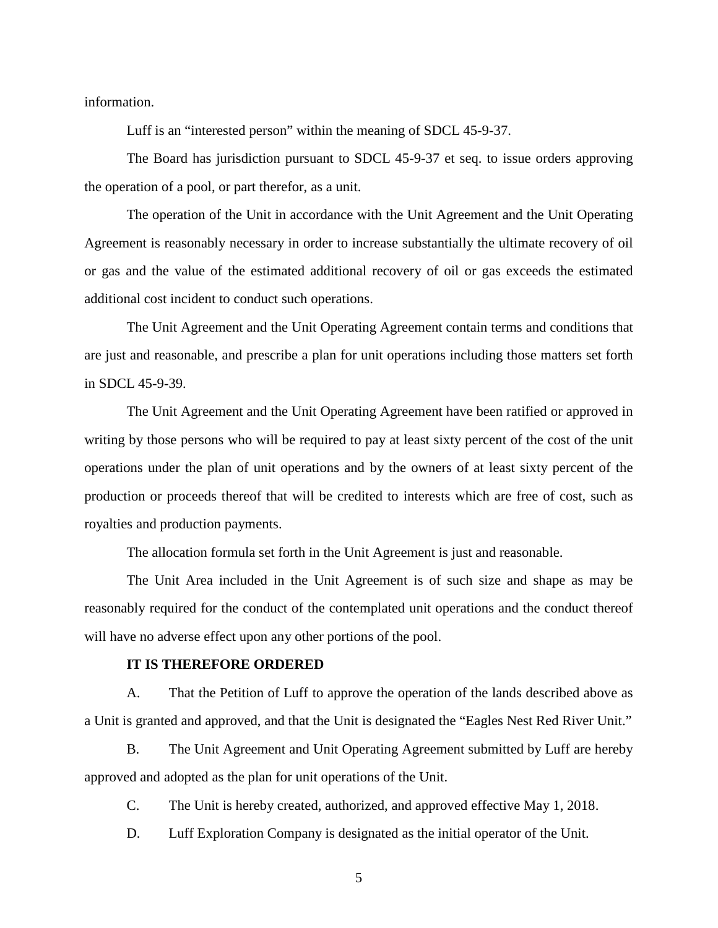information.

Luff is an "interested person" within the meaning of SDCL 45-9-37.

The Board has jurisdiction pursuant to SDCL 45-9-37 et seq. to issue orders approving the operation of a pool, or part therefor, as a unit.

The operation of the Unit in accordance with the Unit Agreement and the Unit Operating Agreement is reasonably necessary in order to increase substantially the ultimate recovery of oil or gas and the value of the estimated additional recovery of oil or gas exceeds the estimated additional cost incident to conduct such operations.

The Unit Agreement and the Unit Operating Agreement contain terms and conditions that are just and reasonable, and prescribe a plan for unit operations including those matters set forth in SDCL 45-9-39.

The Unit Agreement and the Unit Operating Agreement have been ratified or approved in writing by those persons who will be required to pay at least sixty percent of the cost of the unit operations under the plan of unit operations and by the owners of at least sixty percent of the production or proceeds thereof that will be credited to interests which are free of cost, such as royalties and production payments.

The allocation formula set forth in the Unit Agreement is just and reasonable.

The Unit Area included in the Unit Agreement is of such size and shape as may be reasonably required for the conduct of the contemplated unit operations and the conduct thereof will have no adverse effect upon any other portions of the pool.

## **IT IS THEREFORE ORDERED**

A. That the Petition of Luff to approve the operation of the lands described above as a Unit is granted and approved, and that the Unit is designated the "Eagles Nest Red River Unit."

B. The Unit Agreement and Unit Operating Agreement submitted by Luff are hereby approved and adopted as the plan for unit operations of the Unit.

C. The Unit is hereby created, authorized, and approved effective May 1, 2018.

D. Luff Exploration Company is designated as the initial operator of the Unit.

5